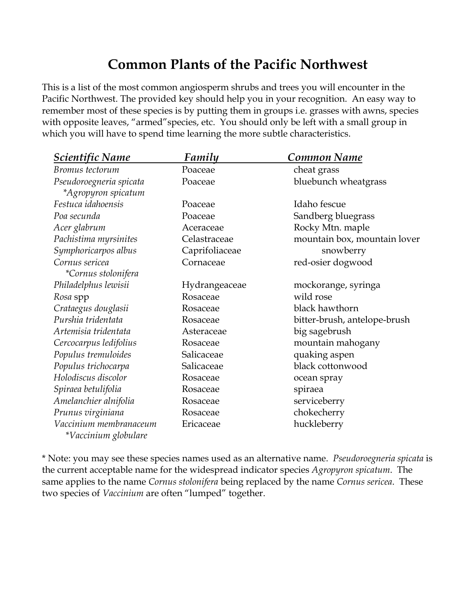## **Common Plants of the Pacific Northwest**

This is a list of the most common angiosperm shrubs and trees you will encounter in the Pacific Northwest. The provided key should help you in your recognition. An easy way to remember most of these species is by putting them in groups i.e. grasses with awns, species with opposite leaves, "armed" species, etc. You should only be left with a small group in which you will have to spend time learning the more subtle characteristics.

| <u>Scientific Name</u>                         | <u>Family</u>  | Common Name                  |
|------------------------------------------------|----------------|------------------------------|
| Bromus tectorum                                | Poaceae        | cheat grass                  |
| Pseudoroegneria spicata                        | Poaceae        | bluebunch wheatgrass         |
| *Agropyron spicatum                            |                |                              |
| Festuca idahoensis                             | Poaceae        | Idaho fescue                 |
| Poa secunda                                    | Poaceae        | Sandberg bluegrass           |
| Acer glabrum                                   | Aceraceae      | Rocky Mtn. maple             |
| Pachistima myrsinites                          | Celastraceae   | mountain box, mountain lover |
| Symphoricarpos albus                           | Caprifoliaceae | snowberry                    |
| Cornus sericea                                 | Cornaceae      | red-osier dogwood            |
| *Cornus stolonifera                            |                |                              |
| Philadelphus lewisii                           | Hydrangeaceae  | mockorange, syringa          |
| Rosa spp                                       | Rosaceae       | wild rose                    |
| Crataegus douglasii                            | Rosaceae       | black hawthorn               |
| Purshia tridentata                             | Rosaceae       | bitter-brush, antelope-brush |
| Artemisia tridentata                           | Asteraceae     | big sagebrush                |
| Cercocarpus ledifolius                         | Rosaceae       | mountain mahogany            |
| Populus tremuloides                            | Salicaceae     | quaking aspen                |
| Populus trichocarpa                            | Salicaceae     | black cottonwood             |
| Holodiscus discolor                            | Rosaceae       | ocean spray                  |
| Spiraea betulifolia                            | Rosaceae       | spiraea                      |
| Amelanchier alnifolia                          | Rosaceae       | serviceberry                 |
| Prunus virginiana                              | Rosaceae       | chokecherry                  |
| Vaccinium membranaceum<br>*Vaccinium globulare | Ericaceae      | huckleberry                  |

\* Note: you may see these species names used as an alternative name. *Pseudoroegneria spicata* is the current acceptable name for the widespread indicator species *Agropyron spicatum*. The same applies to the name *Cornus stolonifera* being replaced by the name *Cornus sericea*. These two species of *Vaccinium* are often "lumped" together.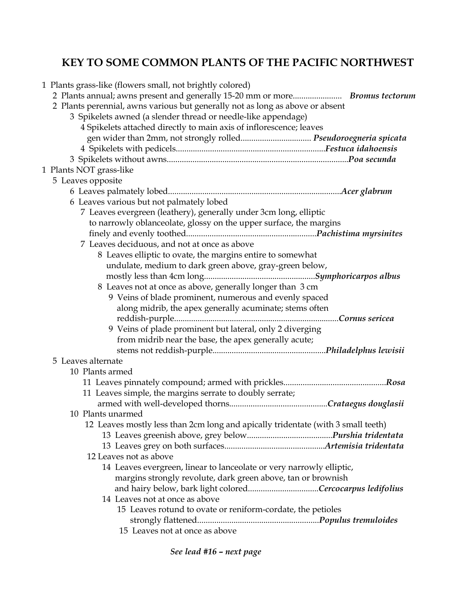## **KEY TO SOME COMMON PLANTS OF THE PACIFIC NORTHWEST**

| 1 Plants grass-like (flowers small, not brightly colored)                        |
|----------------------------------------------------------------------------------|
|                                                                                  |
| 2 Plants perennial, awns various but generally not as long as above or absent    |
| 3 Spikelets awned (a slender thread or needle-like appendage)                    |
| 4 Spikelets attached directly to main axis of inflorescence; leaves              |
| gen wider than 2mm, not strongly rolled Pseudoroegneria spicata                  |
|                                                                                  |
|                                                                                  |
| 1 Plants NOT grass-like                                                          |
| 5 Leaves opposite                                                                |
|                                                                                  |
| 6 Leaves various but not palmately lobed                                         |
| 7 Leaves evergreen (leathery), generally under 3cm long, elliptic                |
| to narrowly oblanceolate, glossy on the upper surface, the margins               |
|                                                                                  |
| 7 Leaves deciduous, and not at once as above                                     |
| 8 Leaves elliptic to ovate, the margins entire to somewhat                       |
| undulate, medium to dark green above, gray-green below,                          |
|                                                                                  |
| 8 Leaves not at once as above, generally longer than 3 cm                        |
| 9 Veins of blade prominent, numerous and evenly spaced                           |
| along midrib, the apex generally acuminate; stems often                          |
|                                                                                  |
| 9 Veins of plade prominent but lateral, only 2 diverging                         |
| from midrib near the base, the apex generally acute;                             |
|                                                                                  |
| 5 Leaves alternate                                                               |
| 10 Plants armed                                                                  |
|                                                                                  |
| 11 Leaves simple, the margins serrate to doubly serrate;                         |
|                                                                                  |
| 10 Plants unarmed                                                                |
| 12 Leaves mostly less than 2cm long and apically tridentate (with 3 small teeth) |
|                                                                                  |
|                                                                                  |
| 12 Leaves not as above                                                           |
| 14 Leaves evergreen, linear to lanceolate or very narrowly elliptic,             |
| margins strongly revolute, dark green above, tan or brownish                     |
| and hairy below, bark light coloredCercocarpus ledifolius                        |
| 14 Leaves not at once as above                                                   |
| 15 Leaves rotund to ovate or reniform-cordate, the petioles                      |
|                                                                                  |
| 15 Leaves not at once as above                                                   |
|                                                                                  |

*See lead #16 – next page*